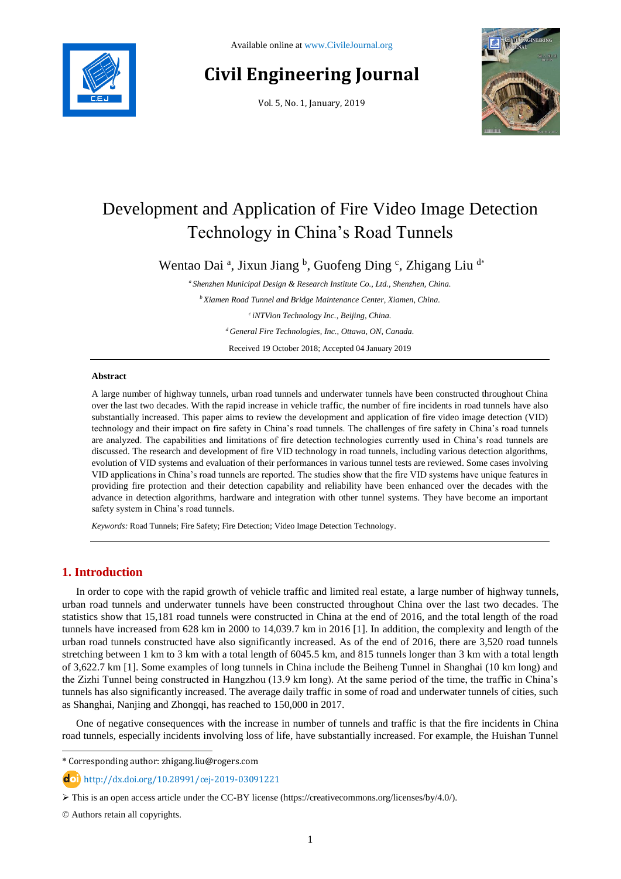

# **Civil Engineering Journal**

Vol. 5, No. 1, January, 2019



# Development and Application of Fire Video Image Detection Technology in China's Road Tunnels

Wentao Dai<sup>a</sup>, Jixun Jiang <sup>b</sup>, Guofeng Ding <sup>c</sup>, Zhigang Liu<sup>d\*</sup>

*<sup>a</sup> Shenzhen Municipal Design & Research Institute Co., Ltd., Shenzhen, China.*

*<sup>b</sup>Xiamen Road Tunnel and Bridge Maintenance Center, Xiamen, China.*

*<sup>c</sup>iNTVion Technology Inc., Beijing, China.*

*<sup>d</sup>General Fire Technologies, Inc., Ottawa, ON, Canada.*

Received 19 October 2018; Accepted 04 January 2019

# **Abstract**

A large number of highway tunnels, urban road tunnels and underwater tunnels have been constructed throughout China over the last two decades. With the rapid increase in vehicle traffic, the number of fire incidents in road tunnels have also substantially increased. This paper aims to review the development and application of fire video image detection (VID) technology and their impact on fire safety in China's road tunnels. The challenges of fire safety in China's road tunnels are analyzed. The capabilities and limitations of fire detection technologies currently used in China's road tunnels are discussed. The research and development of fire VID technology in road tunnels, including various detection algorithms, evolution of VID systems and evaluation of their performances in various tunnel tests are reviewed. Some cases involving VID applications in China's road tunnels are reported. The studies show that the fire VID systems have unique features in providing fire protection and their detection capability and reliability have been enhanced over the decades with the advance in detection algorithms, hardware and integration with other tunnel systems. They have become an important safety system in China's road tunnels.

*Keywords:* Road Tunnels; Fire Safety; Fire Detection; Video Image Detection Technology.

# **1. Introduction**

In order to cope with the rapid growth of vehicle traffic and limited real estate, a large number of highway tunnels, urban road tunnels and underwater tunnels have been constructed throughout China over the last two decades. The statistics show that 15,181 road tunnels were constructed in China at the end of 2016, and the total length of the road tunnels have increased from 628 km in 2000 to 14,039.7 km in 2016 [1]. In addition, the complexity and length of the urban road tunnels constructed have also significantly increased. As of the end of 2016, there are 3,520 road tunnels stretching between 1 km to 3 km with a total length of 6045.5 km, and 815 tunnels longer than 3 km with a total length of 3,622.7 km [1]. Some examples of long tunnels in China include the Beiheng Tunnel in Shanghai (10 km long) and the Zizhi Tunnel being constructed in Hangzhou (13.9 km long). At the same period of the time, the traffic in China's tunnels has also significantly increased. The average daily traffic in some of road and underwater tunnels of cities, such as Shanghai, Nanjing and Zhongqi, has reached to 150,000 in 2017.

One of negative consequences with the increase in number of tunnels and traffic is that the fire incidents in China road tunnels, especially incidents involving loss of life, have substantially increased. For example, the Huishan Tunnel

\* Corresponding author: zhigang.liu@rogers.com

http://dx.doi.org/10.28991/cej-2019-03091221

 $\triangleright$  This is an open access article under the CC-BY license [\(https://creativecommons.org/licenses/by/4.0/\)](https://creativecommons.org/licenses/by/4.0/).

© Authors retain all copyrights.

l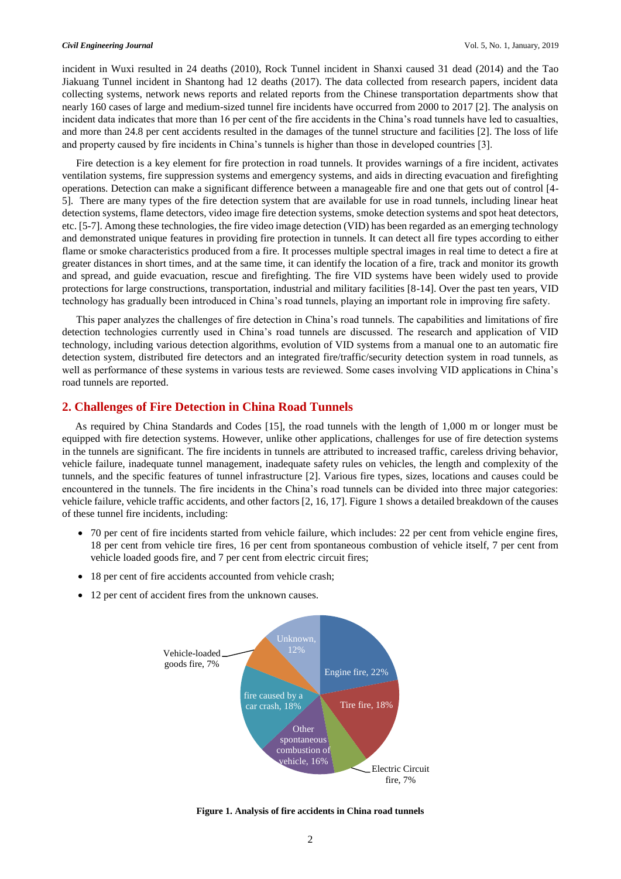incident in Wuxi resulted in 24 deaths (2010), Rock Tunnel incident in Shanxi caused 31 dead (2014) and the Tao Jiakuang Tunnel incident in Shantong had 12 deaths (2017). The data collected from research papers, incident data collecting systems, network news reports and related reports from the Chinese transportation departments show that nearly 160 cases of large and medium-sized tunnel fire incidents have occurred from 2000 to 2017 [2]. The analysis on incident data indicates that more than 16 per cent of the fire accidents in the China's road tunnels have led to casualties, and more than 24.8 per cent accidents resulted in the damages of the tunnel structure and facilities [2]. The loss of life and property caused by fire incidents in China's tunnels is higher than those in developed countries [3].

Fire detection is a key element for fire protection in road tunnels. It provides warnings of a fire incident, activates ventilation systems, fire suppression systems and emergency systems, and aids in directing evacuation and firefighting operations. Detection can make a significant difference between a manageable fire and one that gets out of control [4- 5]. There are many types of the fire detection system that are available for use in road tunnels, including linear heat detection systems, flame detectors, video image fire detection systems, smoke detection systems and spot heat detectors, etc. [5-7]. Among these technologies, the fire video image detection (VID) has been regarded as an emerging technology and demonstrated unique features in providing fire protection in tunnels. It can detect all fire types according to either flame or smoke characteristics produced from a fire. It processes multiple spectral images in real time to detect a fire at greater distances in short times, and at the same time, it can identify the location of a fire, track and monitor its growth and spread, and guide evacuation, rescue and firefighting. The fire VID systems have been widely used to provide protections for large constructions, transportation, industrial and military facilities [8-14]. Over the past ten years, VID technology has gradually been introduced in China's road tunnels, playing an important role in improving fire safety.

This paper analyzes the challenges of fire detection in China's road tunnels. The capabilities and limitations of fire detection technologies currently used in China's road tunnels are discussed. The research and application of VID technology, including various detection algorithms, evolution of VID systems from a manual one to an automatic fire detection system, distributed fire detectors and an integrated fire/traffic/security detection system in road tunnels, as well as performance of these systems in various tests are reviewed. Some cases involving VID applications in China's road tunnels are reported.

# **2. Challenges of Fire Detection in China Road Tunnels**

As required by China Standards and Codes [15], the road tunnels with the length of 1,000 m or longer must be equipped with fire detection systems. However, unlike other applications, challenges for use of fire detection systems in the tunnels are significant. The fire incidents in tunnels are attributed to increased traffic, careless driving behavior, vehicle failure, inadequate tunnel management, inadequate safety rules on vehicles, the length and complexity of the tunnels, and the specific features of tunnel infrastructure [2]. Various fire types, sizes, locations and causes could be encountered in the tunnels. The fire incidents in the China's road tunnels can be divided into three major categories: vehicle failure, vehicle traffic accidents, and other factors [2, 16, 17]. Figure 1 shows a detailed breakdown of the causes of these tunnel fire incidents, including:

- 70 per cent of fire incidents started from vehicle failure, which includes: 22 per cent from vehicle engine fires, 18 per cent from vehicle tire fires, 16 per cent from spontaneous combustion of vehicle itself, 7 per cent from vehicle loaded goods fire, and 7 per cent from electric circuit fires;
- 18 per cent of fire accidents accounted from vehicle crash;
- 12 per cent of accident fires from the unknown causes.



**Figure 1. Analysis of fire accidents in China road tunnels**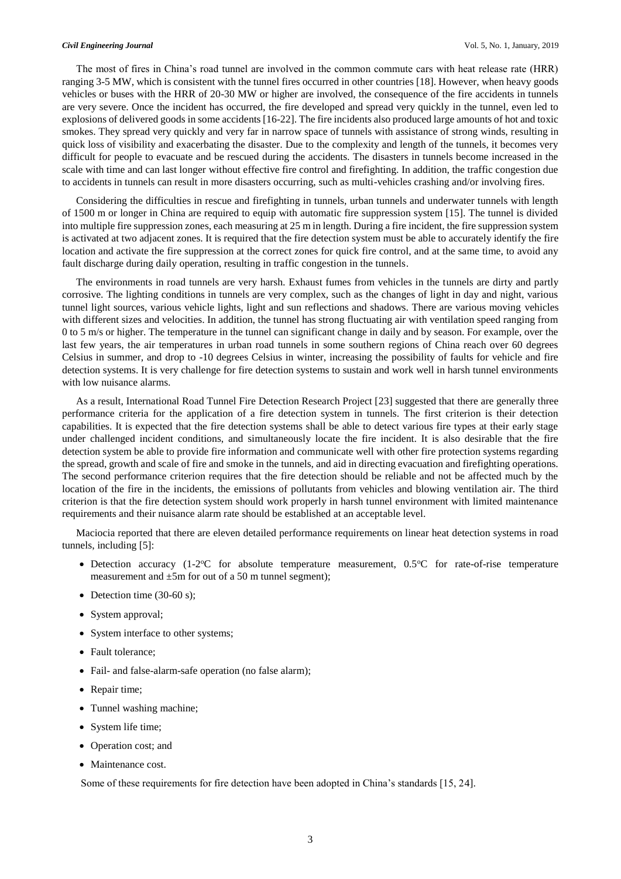The most of fires in China's road tunnel are involved in the common commute cars with heat release rate (HRR) ranging 3-5 MW, which is consistent with the tunnel fires occurred in other countries [18]. However, when heavy goods vehicles or buses with the HRR of 20-30 MW or higher are involved, the consequence of the fire accidents in tunnels are very severe. Once the incident has occurred, the fire developed and spread very quickly in the tunnel, even led to explosions of delivered goods in some accidents [16-22]. The fire incidents also produced large amounts of hot and toxic smokes. They spread very quickly and very far in narrow space of tunnels with assistance of strong winds, resulting in quick loss of visibility and exacerbating the disaster. Due to the complexity and length of the tunnels, it becomes very difficult for people to evacuate and be rescued during the accidents. The disasters in tunnels become increased in the scale with time and can last longer without effective fire control and firefighting. In addition, the traffic congestion due to accidents in tunnels can result in more disasters occurring, such as multi-vehicles crashing and/or involving fires.

Considering the difficulties in rescue and firefighting in tunnels, urban tunnels and underwater tunnels with length of 1500 m or longer in China are required to equip with automatic fire suppression system [15]. The tunnel is divided into multiple fire suppression zones, each measuring at 25 m in length. During a fire incident, the fire suppression system is activated at two adjacent zones. It is required that the fire detection system must be able to accurately identify the fire location and activate the fire suppression at the correct zones for quick fire control, and at the same time, to avoid any fault discharge during daily operation, resulting in traffic congestion in the tunnels.

The environments in road tunnels are very harsh. Exhaust fumes from vehicles in the tunnels are dirty and partly corrosive. The lighting conditions in tunnels are very complex, such as the changes of light in day and night, various tunnel light sources, various vehicle lights, light and sun reflections and shadows. There are various moving vehicles with different sizes and velocities. In addition, the tunnel has strong fluctuating air with ventilation speed ranging from 0 to 5 m/s or higher. The temperature in the tunnel can significant change in daily and by season. For example, over the last few years, the air temperatures in urban road tunnels in some southern regions of China reach over 60 degrees Celsius in summer, and drop to -10 degrees Celsius in winter, increasing the possibility of faults for vehicle and fire detection systems. It is very challenge for fire detection systems to sustain and work well in harsh tunnel environments with low nuisance alarms.

As a result, International Road Tunnel Fire Detection Research Project [23] suggested that there are generally three performance criteria for the application of a fire detection system in tunnels. The first criterion is their detection capabilities. It is expected that the fire detection systems shall be able to detect various fire types at their early stage under challenged incident conditions, and simultaneously locate the fire incident. It is also desirable that the fire detection system be able to provide fire information and communicate well with other fire protection systems regarding the spread, growth and scale of fire and smoke in the tunnels, and aid in directing evacuation and firefighting operations. The second performance criterion requires that the fire detection should be reliable and not be affected much by the location of the fire in the incidents, the emissions of pollutants from vehicles and blowing ventilation air. The third criterion is that the fire detection system should work properly in harsh tunnel environment with limited maintenance requirements and their nuisance alarm rate should be established at an acceptable level.

Maciocia reported that there are eleven detailed performance requirements on linear heat detection systems in road tunnels, including [5]:

- Detection accuracy (1-2°C for absolute temperature measurement, 0.5°C for rate-of-rise temperature measurement and  $\pm 5$ m for out of a 50 m tunnel segment);
- Detection time  $(30-60 s)$ ;
- System approval;
- System interface to other systems;
- Fault tolerance;
- Fail- and false-alarm-safe operation (no false alarm);
- Repair time;
- Tunnel washing machine;
- System life time;
- Operation cost; and
- Maintenance cost.

Some of these requirements for fire detection have been adopted in China's standards [15, 24].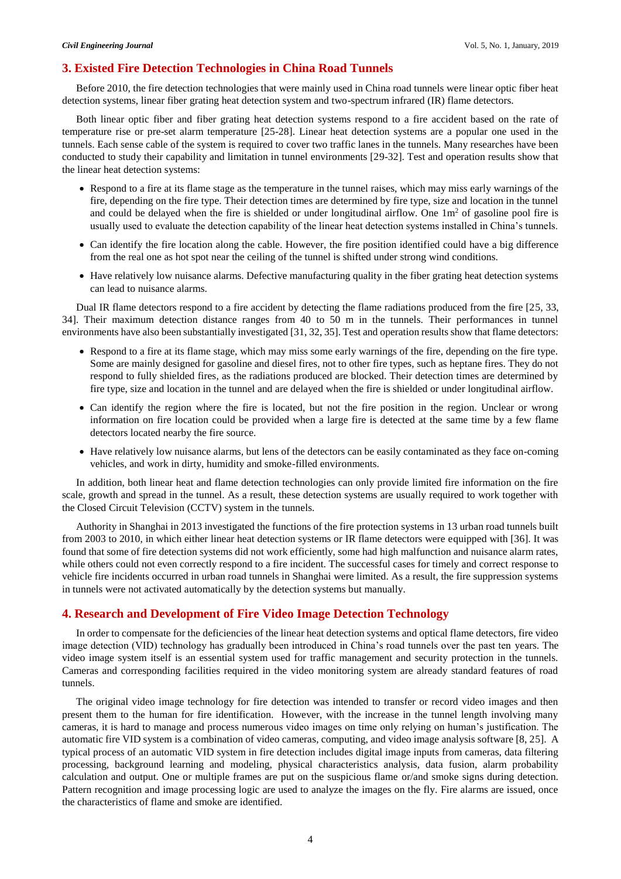# **3. Existed Fire Detection Technologies in China Road Tunnels**

Before 2010, the fire detection technologies that were mainly used in China road tunnels were linear optic fiber heat detection systems, linear fiber grating heat detection system and two-spectrum infrared (IR) flame detectors.

Both linear optic fiber and fiber grating heat detection systems respond to a fire accident based on the rate of temperature rise or pre-set alarm temperature [25-28]. Linear heat detection systems are a popular one used in the tunnels. Each sense cable of the system is required to cover two traffic lanes in the tunnels. Many researches have been conducted to study their capability and limitation in tunnel environments [29-32]. Test and operation results show that the linear heat detection systems:

- Respond to a fire at its flame stage as the temperature in the tunnel raises, which may miss early warnings of the fire, depending on the fire type. Their detection times are determined by fire type, size and location in the tunnel and could be delayed when the fire is shielded or under longitudinal airflow. One  $1m<sup>2</sup>$  of gasoline pool fire is usually used to evaluate the detection capability of the linear heat detection systems installed in China's tunnels.
- Can identify the fire location along the cable. However, the fire position identified could have a big difference from the real one as hot spot near the ceiling of the tunnel is shifted under strong wind conditions.
- Have relatively low nuisance alarms. Defective manufacturing quality in the fiber grating heat detection systems can lead to nuisance alarms.

Dual IR flame detectors respond to a fire accident by detecting the flame radiations produced from the fire [25, 33, 34]. Their maximum detection distance ranges from 40 to 50 m in the tunnels. Their performances in tunnel environments have also been substantially investigated [31, 32, 35]. Test and operation results show that flame detectors:

- Respond to a fire at its flame stage, which may miss some early warnings of the fire, depending on the fire type. Some are mainly designed for gasoline and diesel fires, not to other fire types, such as heptane fires. They do not respond to fully shielded fires, as the radiations produced are blocked. Their detection times are determined by fire type, size and location in the tunnel and are delayed when the fire is shielded or under longitudinal airflow.
- Can identify the region where the fire is located, but not the fire position in the region. Unclear or wrong information on fire location could be provided when a large fire is detected at the same time by a few flame detectors located nearby the fire source.
- Have relatively low nuisance alarms, but lens of the detectors can be easily contaminated as they face on-coming vehicles, and work in dirty, humidity and smoke-filled environments.

In addition, both linear heat and flame detection technologies can only provide limited fire information on the fire scale, growth and spread in the tunnel. As a result, these detection systems are usually required to work together with the Closed Circuit Television (CCTV) system in the tunnels.

Authority in Shanghai in 2013 investigated the functions of the fire protection systems in 13 urban road tunnels built from 2003 to 2010, in which either linear heat detection systems or IR flame detectors were equipped with [36]. It was found that some of fire detection systems did not work efficiently, some had high malfunction and nuisance alarm rates, while others could not even correctly respond to a fire incident. The successful cases for timely and correct response to vehicle fire incidents occurred in urban road tunnels in Shanghai were limited. As a result, the fire suppression systems in tunnels were not activated automatically by the detection systems but manually.

# **4. Research and Development of Fire Video Image Detection Technology**

In order to compensate for the deficiencies of the linear heat detection systems and optical flame detectors, fire video image detection (VID) technology has gradually been introduced in China's road tunnels over the past ten years. The video image system itself is an essential system used for traffic management and security protection in the tunnels. Cameras and corresponding facilities required in the video monitoring system are already standard features of road tunnels.

The original video image technology for fire detection was intended to transfer or record video images and then present them to the human for fire identification. However, with the increase in the tunnel length involving many cameras, it is hard to manage and process numerous video images on time only relying on human's justification. The automatic fire VID system is a combination of video cameras, computing, and video image analysis software [8, 25]. A typical process of an automatic VID system in fire detection includes digital image inputs from cameras, data filtering processing, background learning and modeling, physical characteristics analysis, data fusion, alarm probability calculation and output. One or multiple frames are put on the suspicious flame or/and smoke signs during detection. Pattern recognition and image processing logic are used to analyze the images on the fly. Fire alarms are issued, once the characteristics of flame and smoke are identified.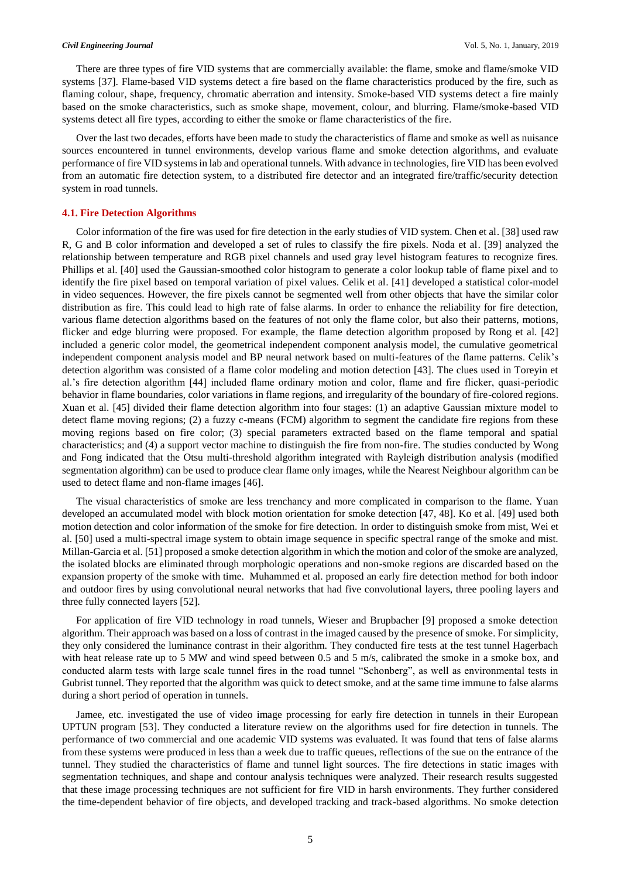There are three types of fire VID systems that are commercially available: the flame, smoke and flame/smoke VID systems [37]. Flame-based VID systems detect a fire based on the flame characteristics produced by the fire, such as flaming colour, shape, frequency, chromatic aberration and intensity. Smoke-based VID systems detect a fire mainly based on the smoke characteristics, such as smoke shape, movement, colour, and blurring. Flame/smoke-based VID systems detect all fire types, according to either the smoke or flame characteristics of the fire.

Over the last two decades, efforts have been made to study the characteristics of flame and smoke as well as nuisance sources encountered in tunnel environments, develop various flame and smoke detection algorithms, and evaluate performance of fire VID systems in lab and operational tunnels. With advance in technologies, fire VID has been evolved from an automatic fire detection system, to a distributed fire detector and an integrated fire/traffic/security detection system in road tunnels.

## **4.1. Fire Detection Algorithms**

Color information of the fire was used for fire detection in the early studies of VID system. Chen et al. [38] used raw R, G and B color information and developed a set of rules to classify the fire pixels. Noda et al. [39] analyzed the relationship between temperature and RGB pixel channels and used gray level histogram features to recognize fires. Phillips et al. [40] used the Gaussian-smoothed color histogram to generate a color lookup table of flame pixel and to identify the fire pixel based on temporal variation of pixel values. Celik et al. [41] developed a statistical color-model in video sequences. However, the fire pixels cannot be segmented well from other objects that have the similar color distribution as fire. This could lead to high rate of false alarms. In order to enhance the reliability for fire detection, various flame detection algorithms based on the features of not only the flame color, but also their patterns, motions, flicker and edge blurring were proposed. For example, the flame detection algorithm proposed by Rong et al. [42] included a generic color model, the geometrical independent component analysis model, the cumulative geometrical independent component analysis model and BP neural network based on multi-features of the flame patterns. Celik's detection algorithm was consisted of a flame color modeling and motion detection [43]. The clues used in Toreyin et al.'s fire detection algorithm [44] included flame ordinary motion and color, flame and fire flicker, quasi-periodic behavior in flame boundaries, color variations in flame regions, and irregularity of the boundary of fire-colored regions. Xuan et al. [45] divided their flame detection algorithm into four stages: (1) an adaptive Gaussian mixture model to detect flame moving regions; (2) a fuzzy c-means (FCM) algorithm to segment the candidate fire regions from these moving regions based on fire color; (3) special parameters extracted based on the flame temporal and spatial characteristics; and (4) a support vector machine to distinguish the fire from non-fire. The studies conducted by Wong and Fong indicated that the Otsu multi-threshold algorithm integrated with Rayleigh distribution analysis (modified segmentation algorithm) can be used to produce clear flame only images, while the Nearest Neighbour algorithm can be used to detect flame and non-flame images [46].

The visual characteristics of smoke are less trenchancy and more complicated in comparison to the flame. Yuan developed an accumulated model with block motion orientation for smoke detection [47, 48]. Ko et al. [49] used both motion detection and color information of the smoke for fire detection. In order to distinguish smoke from mist, Wei et al. [50] used a multi-spectral image system to obtain image sequence in specific spectral range of the smoke and mist. Millan-Garcia et al. [51] proposed a smoke detection algorithm in which the motion and color of the smoke are analyzed, the isolated blocks are eliminated through morphologic operations and non-smoke regions are discarded based on the expansion property of the smoke with time. Muhammed et al. proposed an early fire detection method for both indoor and outdoor fires by using convolutional neural networks that had five convolutional layers, three pooling layers and three fully connected layers [52].

For application of fire VID technology in road tunnels, Wieser and Brupbacher [9] proposed a smoke detection algorithm. Their approach was based on a loss of contrast in the imaged caused by the presence of smoke. For simplicity, they only considered the luminance contrast in their algorithm. They conducted fire tests at the test tunnel Hagerbach with heat release rate up to 5 MW and wind speed between 0.5 and 5 m/s, calibrated the smoke in a smoke box, and conducted alarm tests with large scale tunnel fires in the road tunnel "Schonberg", as well as environmental tests in Gubrist tunnel. They reported that the algorithm was quick to detect smoke, and at the same time immune to false alarms during a short period of operation in tunnels.

Jamee, etc. investigated the use of video image processing for early fire detection in tunnels in their European UPTUN program [53]. They conducted a literature review on the algorithms used for fire detection in tunnels. The performance of two commercial and one academic VID systems was evaluated. It was found that tens of false alarms from these systems were produced in less than a week due to traffic queues, reflections of the sue on the entrance of the tunnel. They studied the characteristics of flame and tunnel light sources. The fire detections in static images with segmentation techniques, and shape and contour analysis techniques were analyzed. Their research results suggested that these image processing techniques are not sufficient for fire VID in harsh environments. They further considered the time-dependent behavior of fire objects, and developed tracking and track-based algorithms. No smoke detection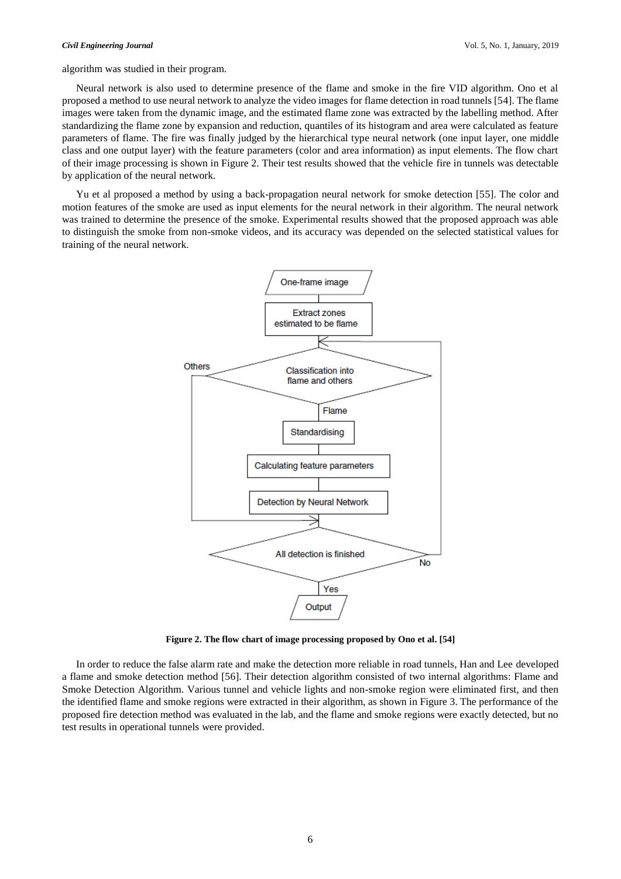algorithm was studied in their program.

Neural network is also used to determine presence of the flame and smoke in the fire VID algorithm. Ono et al proposed a method to use neural network to analyze the video images for flame detection in road tunnels [54]. The flame images were taken from the dynamic image, and the estimated flame zone was extracted by the labelling method. After standardizing the flame zone by expansion and reduction, quantiles of its histogram and area were calculated as feature parameters of flame. The fire was finally judged by the hierarchical type neural network (one input layer, one middle class and one output layer) with the feature parameters (color and area information) as input elements. The flow chart of their image processing is shown in Figure 2. Their test results showed that the vehicle fire in tunnels was detectable by application of the neural network.

Yu et al proposed a method by using a back-propagation neural network for smoke detection [55]. The color and motion features of the smoke are used as input elements for the neural network in their algorithm. The neural network was trained to determine the presence of the smoke. Experimental results showed that the proposed approach was able to distinguish the smoke from non-smoke videos, and its accuracy was depended on the selected statistical values for training of the neural network.



**Figure 2. The flow chart of image processing proposed by Ono et al. [54]**

In order to reduce the false alarm rate and make the detection more reliable in road tunnels, Han and Lee developed a flame and smoke detection method [56]. Their detection algorithm consisted of two internal algorithms: Flame and Smoke Detection Algorithm. Various tunnel and vehicle lights and non-smoke region were eliminated first, and then the identified flame and smoke regions were extracted in their algorithm, as shown in Figure 3. The performance of the proposed fire detection method was evaluated in the lab, and the flame and smoke regions were exactly detected, but no test results in operational tunnels were provided.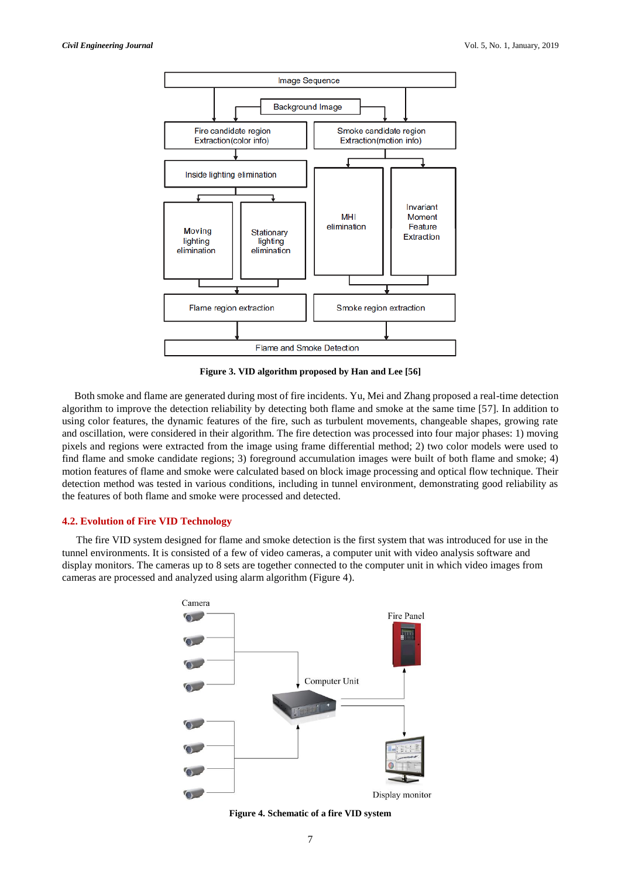

**Figure 3. VID algorithm proposed by Han and Lee [56]**

Both smoke and flame are generated during most of fire incidents. Yu, Mei and Zhang proposed a real-time detection algorithm to improve the detection reliability by detecting both flame and smoke at the same time [57]. In addition to using color features, the dynamic features of the fire, such as turbulent movements, changeable shapes, growing rate and oscillation, were considered in their algorithm. The fire detection was processed into four major phases: 1) moving pixels and regions were extracted from the image using frame differential method; 2) two color models were used to find flame and smoke candidate regions; 3) foreground accumulation images were built of both flame and smoke; 4) motion features of flame and smoke were calculated based on block image processing and optical flow technique. Their detection method was tested in various conditions, including in tunnel environment, demonstrating good reliability as the features of both flame and smoke were processed and detected.

# **4.2. Evolution of Fire VID Technology**

The fire VID system designed for flame and smoke detection is the first system that was introduced for use in the tunnel environments. It is consisted of a few of video cameras, a computer unit with video analysis software and display monitors. The cameras up to 8 sets are together connected to the computer unit in which video images from cameras are processed and analyzed using alarm algorithm (Figure 4).



**Figure 4. Schematic of a fire VID system**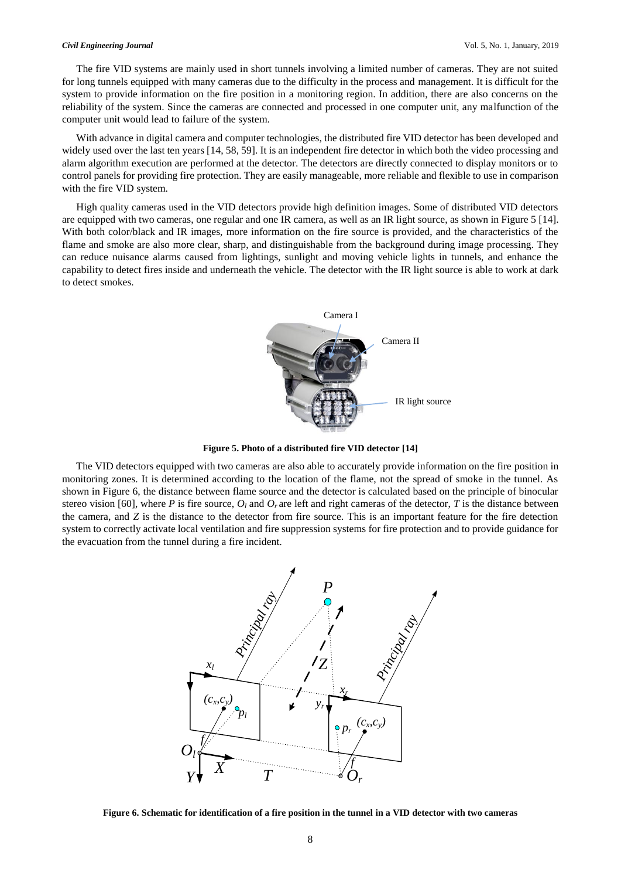### *Civil Engineering Journal* Vol. 5, No. 1, January, 2019

The fire VID systems are mainly used in short tunnels involving a limited number of cameras. They are not suited for long tunnels equipped with many cameras due to the difficulty in the process and management. It is difficult for the system to provide information on the fire position in a monitoring region. In addition, there are also concerns on the reliability of the system. Since the cameras are connected and processed in one computer unit, any malfunction of the computer unit would lead to failure of the system.

With advance in digital camera and computer technologies, the distributed fire VID detector has been developed and widely used over the last ten years [14, 58, 59]. It is an independent fire detector in which both the video processing and alarm algorithm execution are performed at the detector. The detectors are directly connected to display monitors or to control panels for providing fire protection. They are easily manageable, more reliable and flexible to use in comparison with the fire VID system.

High quality cameras used in the VID detectors provide high definition images. Some of distributed VID detectors are equipped with two cameras, one regular and one IR camera, as well as an IR light source, as shown in Figure 5 [14]. With both color/black and IR images, more information on the fire source is provided, and the characteristics of the flame and smoke are also more clear, sharp, and distinguishable from the background during image processing. They can reduce nuisance alarms caused from lightings, sunlight and moving vehicle lights in tunnels, and enhance the capability to detect fires inside and underneath the vehicle. The detector with the IR light source is able to work at dark to detect smokes.



**Figure 5. Photo of a distributed fire VID detector [14]**

The VID detectors equipped with two cameras are also able to accurately provide information on the fire position in monitoring zones. It is determined according to the location of the flame, not the spread of smoke in the tunnel. As shown in Figure 6, the distance between flame source and the detector is calculated based on the principle of binocular stereo vision [60], where *P* is fire source,  $O_l$  and  $O_r$  are left and right cameras of the detector, *T* is the distance between the camera, and *Z* is the distance to the detector from fire source. This is an important feature for the fire detection system to correctly activate local ventilation and fire suppression systems for fire protection and to provide guidance for the evacuation from the tunnel during a fire incident.



**Figure 6. Schematic for identification of a fire position in the tunnel in a VID detector with two cameras**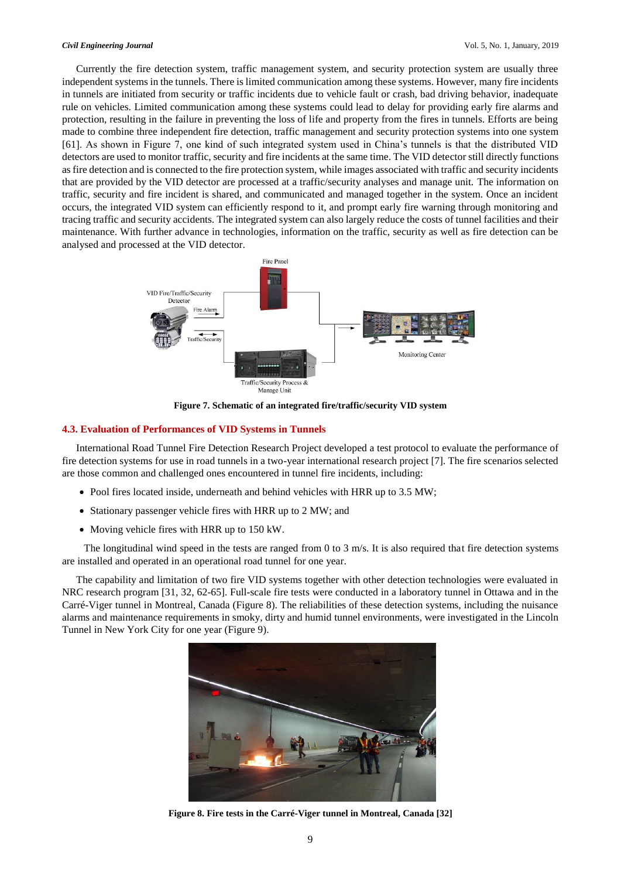Currently the fire detection system, traffic management system, and security protection system are usually three independent systems in the tunnels. There is limited communication among these systems. However, many fire incidents in tunnels are initiated from security or traffic incidents due to vehicle fault or crash, bad driving behavior, inadequate rule on vehicles. Limited communication among these systems could lead to delay for providing early fire alarms and protection, resulting in the failure in preventing the loss of life and property from the fires in tunnels. Efforts are being made to combine three independent fire detection, traffic management and security protection systems into one system [61]. As shown in Figure 7, one kind of such integrated system used in China's tunnels is that the distributed VID detectors are used to monitor traffic, security and fire incidents at the same time. The VID detector still directly functions as fire detection and is connected to the fire protection system, while images associated with traffic and security incidents that are provided by the VID detector are processed at a traffic/security analyses and manage unit. The information on traffic, security and fire incident is shared, and communicated and managed together in the system. Once an incident occurs, the integrated VID system can efficiently respond to it, and prompt early fire warning through monitoring and tracing traffic and security accidents. The integrated system can also largely reduce the costs of tunnel facilities and their maintenance. With further advance in technologies, information on the traffic, security as well as fire detection can be analysed and processed at the VID detector.



**Figure 7. Schematic of an integrated fire/traffic/security VID system**

### **4.3. Evaluation of Performances of VID Systems in Tunnels**

International Road Tunnel Fire Detection Research Project developed a test protocol to evaluate the performance of fire detection systems for use in road tunnels in a two-year international research project [7]. The fire scenarios selected are those common and challenged ones encountered in tunnel fire incidents, including:

- Pool fires located inside, underneath and behind vehicles with HRR up to 3.5 MW;
- Stationary passenger vehicle fires with HRR up to 2 MW; and
- Moving vehicle fires with HRR up to 150 kW.

The longitudinal wind speed in the tests are ranged from 0 to 3 m/s. It is also required that fire detection systems are installed and operated in an operational road tunnel for one year.

The capability and limitation of two fire VID systems together with other detection technologies were evaluated in NRC research program [31, 32, 62-65]. Full-scale fire tests were conducted in a laboratory tunnel in Ottawa and in the Carré-Viger tunnel in Montreal, Canada (Figure 8). The reliabilities of these detection systems, including the nuisance alarms and maintenance requirements in smoky, dirty and humid tunnel environments, were investigated in the Lincoln Tunnel in New York City for one year (Figure 9).



**Figure 8. Fire tests in the Carré-Viger tunnel in Montreal, Canada [32]**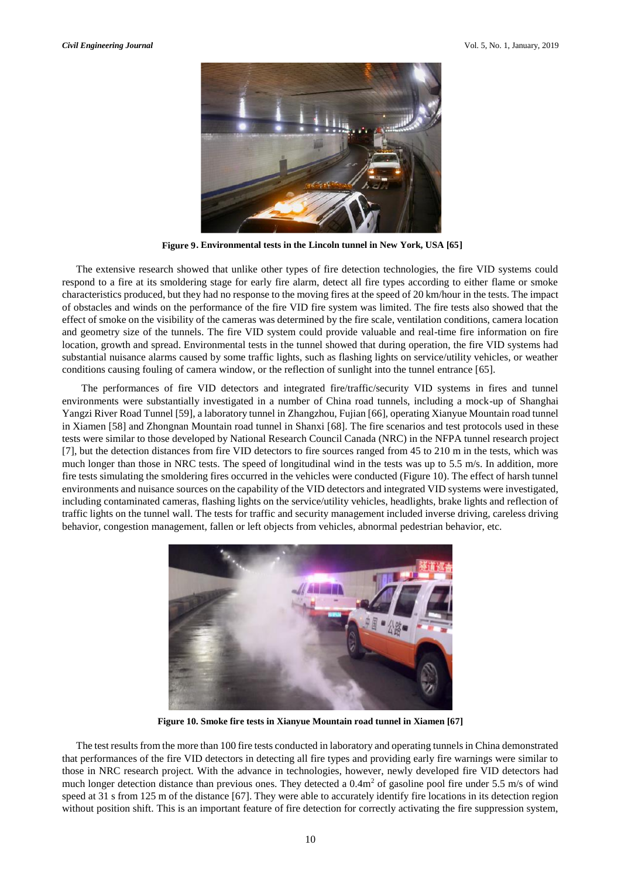

**Figure 9. Environmental tests in the Lincoln tunnel in New York, USA [65]** 

The extensive research showed that unlike other types of fire detection technologies, the fire VID systems could respond to a fire at its smoldering stage for early fire alarm, detect all fire types according to either flame or smoke characteristics produced, but they had no response to the moving fires at the speed of 20 km/hour in the tests. The impact of obstacles and winds on the performance of the fire VID fire system was limited. The fire tests also showed that the effect of smoke on the visibility of the cameras was determined by the fire scale, ventilation conditions, camera location and geometry size of the tunnels. The fire VID system could provide valuable and real-time fire information on fire location, growth and spread. Environmental tests in the tunnel showed that during operation, the fire VID systems had substantial nuisance alarms caused by some traffic lights, such as flashing lights on service/utility vehicles, or weather conditions causing fouling of camera window, or the reflection of sunlight into the tunnel entrance [65].

 The performances of fire VID detectors and integrated fire/traffic/security VID systems in fires and tunnel environments were substantially investigated in a number of China road tunnels, including a mock-up of Shanghai Yangzi River Road Tunnel [59], a laboratory tunnel in Zhangzhou, Fujian [66], operating Xianyue Mountain road tunnel in Xiamen [58] and Zhongnan Mountain road tunnel in Shanxi [68]. The fire scenarios and test protocols used in these tests were similar to those developed by National Research Council Canada (NRC) in the NFPA tunnel research project [7], but the detection distances from fire VID detectors to fire sources ranged from 45 to 210 m in the tests, which was much longer than those in NRC tests. The speed of longitudinal wind in the tests was up to 5.5 m/s. In addition, more fire tests simulating the smoldering fires occurred in the vehicles were conducted (Figure 10). The effect of harsh tunnel environments and nuisance sources on the capability of the VID detectors and integrated VID systems were investigated, including contaminated cameras, flashing lights on the service/utility vehicles, headlights, brake lights and reflection of traffic lights on the tunnel wall. The tests for traffic and security management included inverse driving, careless driving behavior, congestion management, fallen or left objects from vehicles, abnormal pedestrian behavior, etc.



**Figure 10. Smoke fire tests in Xianyue Mountain road tunnel in Xiamen [67]** 

The test results from the more than 100 fire tests conducted in laboratory and operating tunnels in China demonstrated that performances of the fire VID detectors in detecting all fire types and providing early fire warnings were similar to those in NRC research project. With the advance in technologies, however, newly developed fire VID detectors had much longer detection distance than previous ones. They detected a  $0.4\text{m}^2$  of gasoline pool fire under 5.5 m/s of wind speed at 31 s from 125 m of the distance [67]. They were able to accurately identify fire locations in its detection region without position shift. This is an important feature of fire detection for correctly activating the fire suppression system,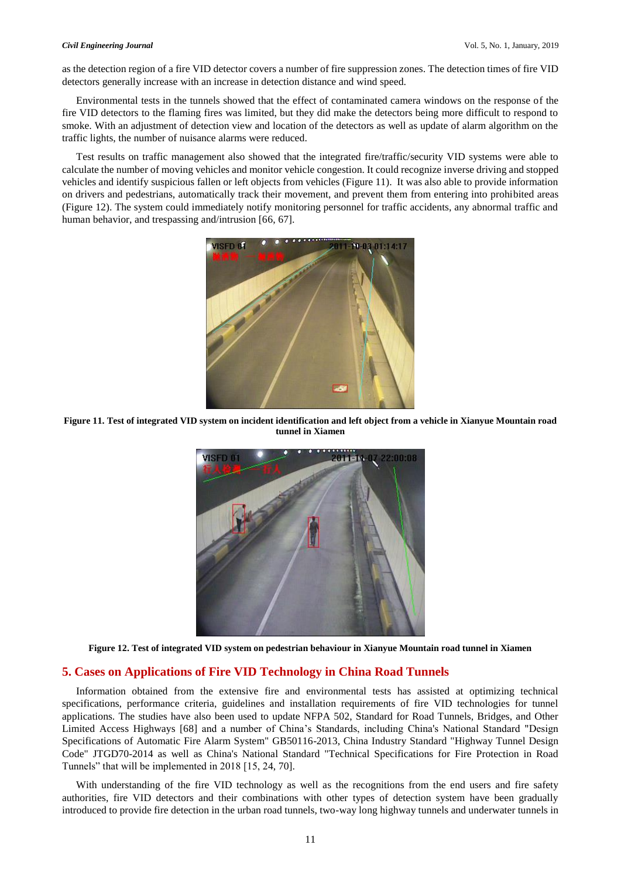as the detection region of a fire VID detector covers a number of fire suppression zones. The detection times of fire VID detectors generally increase with an increase in detection distance and wind speed.

Environmental tests in the tunnels showed that the effect of contaminated camera windows on the response of the fire VID detectors to the flaming fires was limited, but they did make the detectors being more difficult to respond to smoke. With an adjustment of detection view and location of the detectors as well as update of alarm algorithm on the traffic lights, the number of nuisance alarms were reduced.

Test results on traffic management also showed that the integrated fire/traffic/security VID systems were able to calculate the number of moving vehicles and monitor vehicle congestion. It could recognize inverse driving and stopped vehicles and identify suspicious fallen or left objects from vehicles (Figure 11). It was also able to provide information on drivers and pedestrians, automatically track their movement, and prevent them from entering into prohibited areas (Figure 12). The system could immediately notify monitoring personnel for traffic accidents, any abnormal traffic and human behavior, and trespassing and/intrusion [66, 67].



**Figure 11. Test of integrated VID system on incident identification and left object from a vehicle in Xianyue Mountain road tunnel in Xiamen**



**Figure 12. Test of integrated VID system on pedestrian behaviour in Xianyue Mountain road tunnel in Xiamen**

# **5. Cases on Applications of Fire VID Technology in China Road Tunnels**

Information obtained from the extensive fire and environmental tests has assisted at optimizing technical specifications, performance criteria, guidelines and installation requirements of fire VID technologies for tunnel applications. The studies have also been used to update NFPA 502, Standard for Road Tunnels, Bridges, and Other Limited Access Highways [68] and a number of China's Standards, including China's National Standard "Design Specifications of Automatic Fire Alarm System" GB50116-2013, China Industry Standard "Highway Tunnel Design Code" JTGD70-2014 as well as China's National Standard "Technical Specifications for Fire Protection in Road Tunnels" that will be implemented in 2018 [15, 24, 70].

With understanding of the fire VID technology as well as the recognitions from the end users and fire safety authorities, fire VID detectors and their combinations with other types of detection system have been gradually introduced to provide fire detection in the urban road tunnels, two-way long highway tunnels and underwater tunnels in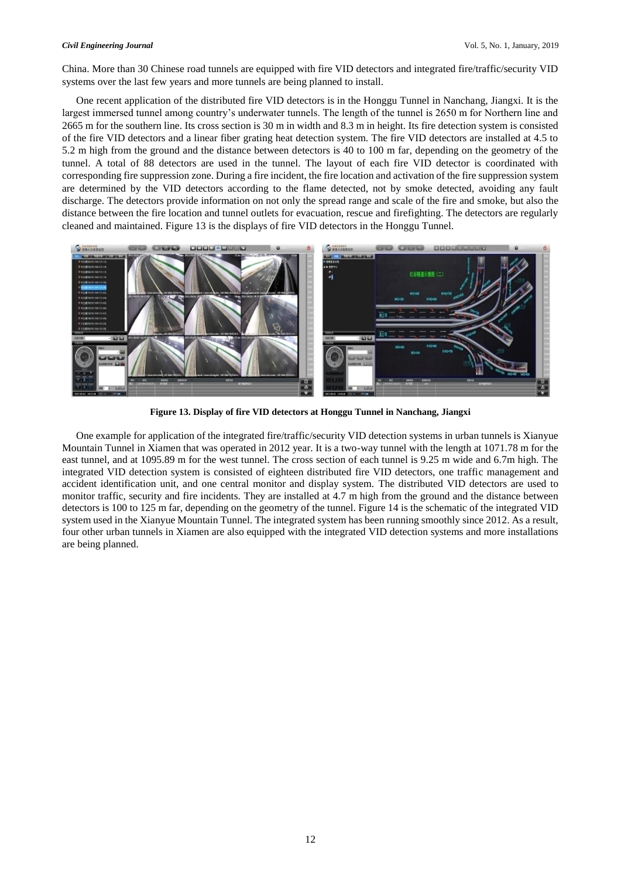# *Civil Engineering Journal* Vol. 5, No. 1, January, 2019

China. More than 30 Chinese road tunnels are equipped with fire VID detectors and integrated fire/traffic/security VID systems over the last few years and more tunnels are being planned to install.

One recent application of the distributed fire VID detectors is in the Honggu Tunnel in Nanchang, Jiangxi. It is the largest immersed tunnel among country's underwater tunnels. The length of the tunnel is 2650 m for Northern line and 2665 m for the southern line. Its cross section is 30 m in width and 8.3 m in height. Its fire detection system is consisted of the fire VID detectors and a linear fiber grating heat detection system. The fire VID detectors are installed at 4.5 to 5.2 m high from the ground and the distance between detectors is 40 to 100 m far, depending on the geometry of the tunnel. A total of 88 detectors are used in the tunnel. The layout of each fire VID detector is coordinated with corresponding fire suppression zone. During a fire incident, the fire location and activation of the fire suppression system are determined by the VID detectors according to the flame detected, not by smoke detected, avoiding any fault discharge. The detectors provide information on not only the spread range and scale of the fire and smoke, but also the distance between the fire location and tunnel outlets for evacuation, rescue and firefighting. The detectors are regularly cleaned and maintained. Figure 13 is the displays of fire VID detectors in the Honggu Tunnel.



**Figure 13. Display of fire VID detectors at Honggu Tunnel in Nanchang, Jiangxi**

One example for application of the integrated fire/traffic/security VID detection systems in urban tunnels is Xianyue Mountain Tunnel in Xiamen that was operated in 2012 year. It is a two-way tunnel with the length at 1071.78 m for the east tunnel, and at 1095.89 m for the west tunnel. The cross section of each tunnel is 9.25 m wide and 6.7m high. The integrated VID detection system is consisted of eighteen distributed fire VID detectors, one traffic management and accident identification unit, and one central monitor and display system. The distributed VID detectors are used to monitor traffic, security and fire incidents. They are installed at 4.7 m high from the ground and the distance between detectors is 100 to 125 m far, depending on the geometry of the tunnel. Figure 14 is the schematic of the integrated VID system used in the Xianyue Mountain Tunnel. The integrated system has been running smoothly since 2012. As a result, four other urban tunnels in Xiamen are also equipped with the integrated VID detection systems and more installations are being planned.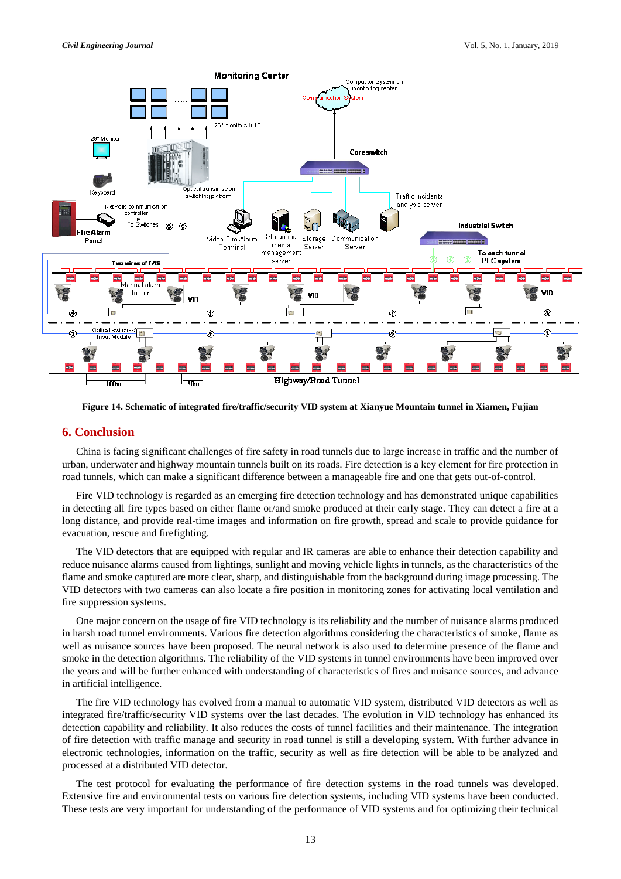

**Figure 14. Schematic of integrated fire/traffic/security VID system at Xianyue Mountain tunnel in Xiamen, Fujian**

# **6. Conclusion**

China is facing significant challenges of fire safety in road tunnels due to large increase in traffic and the number of urban, underwater and highway mountain tunnels built on its roads. Fire detection is a key element for fire protection in road tunnels, which can make a significant difference between a manageable fire and one that gets out-of-control.

Fire VID technology is regarded as an emerging fire detection technology and has demonstrated unique capabilities in detecting all fire types based on either flame or/and smoke produced at their early stage. They can detect a fire at a long distance, and provide real-time images and information on fire growth, spread and scale to provide guidance for evacuation, rescue and firefighting.

The VID detectors that are equipped with regular and IR cameras are able to enhance their detection capability and reduce nuisance alarms caused from lightings, sunlight and moving vehicle lights in tunnels, as the characteristics of the flame and smoke captured are more clear, sharp, and distinguishable from the background during image processing. The VID detectors with two cameras can also locate a fire position in monitoring zones for activating local ventilation and fire suppression systems.

One major concern on the usage of fire VID technology is its reliability and the number of nuisance alarms produced in harsh road tunnel environments. Various fire detection algorithms considering the characteristics of smoke, flame as well as nuisance sources have been proposed. The neural network is also used to determine presence of the flame and smoke in the detection algorithms. The reliability of the VID systems in tunnel environments have been improved over the years and will be further enhanced with understanding of characteristics of fires and nuisance sources, and advance in artificial intelligence.

The fire VID technology has evolved from a manual to automatic VID system, distributed VID detectors as well as integrated fire/traffic/security VID systems over the last decades. The evolution in VID technology has enhanced its detection capability and reliability. It also reduces the costs of tunnel facilities and their maintenance. The integration of fire detection with traffic manage and security in road tunnel is still a developing system. With further advance in electronic technologies, information on the traffic, security as well as fire detection will be able to be analyzed and processed at a distributed VID detector.

The test protocol for evaluating the performance of fire detection systems in the road tunnels was developed. Extensive fire and environmental tests on various fire detection systems, including VID systems have been conducted. These tests are very important for understanding of the performance of VID systems and for optimizing their technical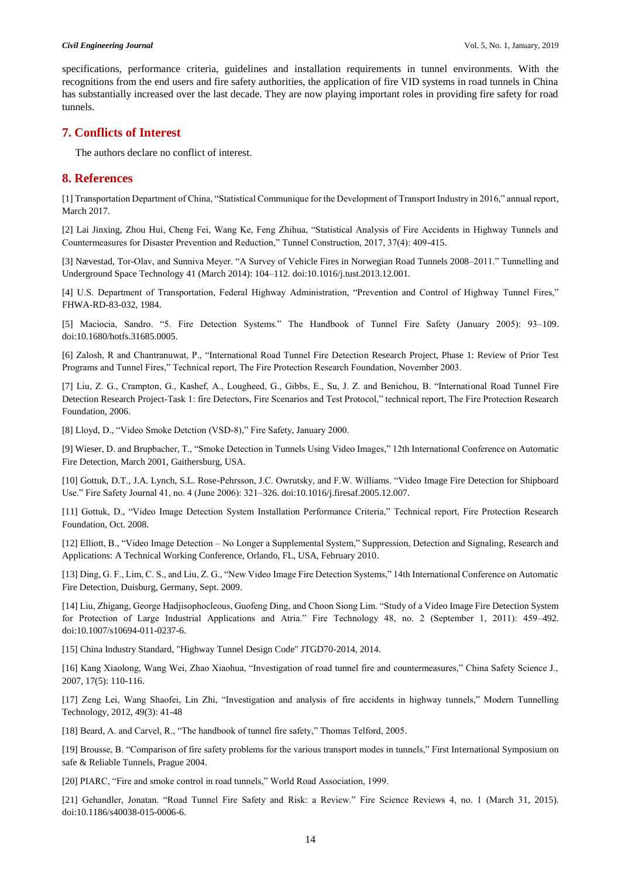specifications, performance criteria, guidelines and installation requirements in tunnel environments. With the recognitions from the end users and fire safety authorities, the application of fire VID systems in road tunnels in China has substantially increased over the last decade. They are now playing important roles in providing fire safety for road tunnels.

# **7. Conflicts of Interest**

The authors declare no conflict of interest.

# **8. References**

[1] Transportation Department of China, "Statistical Communique for the Development of Transport Industry in 2016," annual report, March 2017.

[2] Lai Jinxing, Zhou Hui, Cheng Fei, Wang Ke, Feng Zhihua, "Statistical Analysis of Fire Accidents in Highway Tunnels and Countermeasures for Disaster Prevention and Reduction," Tunnel Construction, 2017, 37(4): 409-415.

[3] Nævestad, Tor-Olav, and Sunniva Meyer. "A Survey of Vehicle Fires in Norwegian Road Tunnels 2008–2011." Tunnelling and Underground Space Technology 41 (March 2014): 104–112. doi:10.1016/j.tust.2013.12.001.

[4] U.S. Department of Transportation, Federal Highway Administration, "Prevention and Control of Highway Tunnel Fires," FHWA-RD-83-032, 1984.

[5] Maciocia, Sandro. "5. Fire Detection Systems." The Handbook of Tunnel Fire Safety (January 2005): 93–109. doi:10.1680/hotfs.31685.0005.

[6] Zalosh, R and Chantranuwat, P., "International Road Tunnel Fire Detection Research Project, Phase 1: Review of Prior Test Programs and Tunnel Fires," Technical report, The Fire Protection Research Foundation, November 2003.

[7] Liu, Z. G., Crampton, G., Kashef, A., Lougheed, G., Gibbs, E., Su, J. Z. and Benichou, B. "International Road Tunnel Fire Detection Research Project-Task 1: fire Detectors, Fire Scenarios and Test Protocol," technical report, The Fire Protection Research Foundation, 2006.

[8] Lloyd, D., "Video Smoke Detction (VSD-8)," Fire Safety, January 2000.

[9] Wieser, D. and Brupbacher, T., "Smoke Detection in Tunnels Using Video Images," 12th International Conference on Automatic Fire Detection, March 2001, Gaithersburg, USA.

[10] Gottuk, D.T., J.A. Lynch, S.L. Rose-Pehrsson, J.C. Owrutsky, and F.W. Williams. "Video Image Fire Detection for Shipboard Use." Fire Safety Journal 41, no. 4 (June 2006): 321–326. doi:10.1016/j.firesaf.2005.12.007.

[11] Gottuk, D., "Video Image Detection System Installation Performance Criteria," Technical report, Fire Protection Research Foundation, Oct. 2008.

[12] Elliott, B., "Video Image Detection – No Longer a Supplemental System," Suppression, Detection and Signaling, Research and Applications: A Technical Working Conference, Orlando, FL, USA, February 2010.

[13] Ding, G. F., Lim, C. S., and Liu, Z. G., "New Video Image Fire Detection Systems," 14th International Conference on Automatic Fire Detection, Duisburg, Germany, Sept. 2009.

[14] Liu, Zhigang, George Hadjisophocleous, Guofeng Ding, and Choon Siong Lim. "Study of a Video Image Fire Detection System for Protection of Large Industrial Applications and Atria." Fire Technology 48, no. 2 (September 1, 2011): 459–492. doi:10.1007/s10694-011-0237-6.

[15] China Industry Standard, "Highway Tunnel Design Code" JTGD70-2014, 2014.

[16] Kang Xiaolong, Wang Wei, Zhao Xiaohua, "Investigation of road tunnel fire and countermeasures," China Safety Science J., 2007, 17(5): 110-116.

[17] Zeng Lei, Wang Shaofei, Lin Zhi, "Investigation and analysis of fire accidents in highway tunnels," Modern Tunnelling Technology, 2012, 49(3): 41-48

[18] Beard, A. and Carvel, R., "The handbook of tunnel fire safety," Thomas Telford, 2005.

[19] Brousse, B. "Comparison of fire safety problems for the various transport modes in tunnels," First International Symposium on safe & Reliable Tunnels, Prague 2004.

[20] PIARC, "Fire and smoke control in road tunnels," World Road Association, 1999.

[21] Gehandler, Jonatan. "Road Tunnel Fire Safety and Risk: a Review." Fire Science Reviews 4, no. 1 (March 31, 2015). doi:10.1186/s40038-015-0006-6.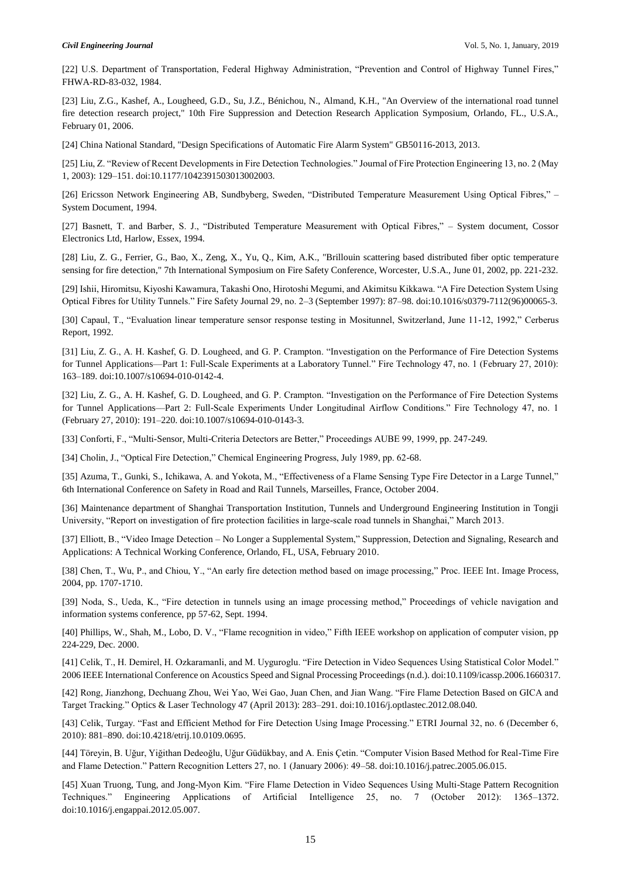[22] U.S. Department of Transportation, Federal Highway Administration, "Prevention and Control of Highway Tunnel Fires," FHWA-RD-83-032, 1984.

[23] Liu, Z.G., Kashef, A., Lougheed, G.D., Su, J.Z., Bénichou, N., Almand, K.H., "An Overview of the international road tunnel fire detection research project," 10th Fire Suppression and Detection Research Application Symposium, Orlando, FL., U.S.A., February 01, 2006.

[24] China National Standard, "Design Specifications of Automatic Fire Alarm System" GB50116-2013, 2013.

[25] Liu, Z. "Review of Recent Developments in Fire Detection Technologies." Journal of Fire Protection Engineering 13, no. 2 (May 1, 2003): 129–151. doi:10.1177/1042391503013002003.

[26] Ericsson Network Engineering AB, Sundbyberg, Sweden, "Distributed Temperature Measurement Using Optical Fibres," – System Document, 1994.

[27] Basnett, T. and Barber, S. J., "Distributed Temperature Measurement with Optical Fibres," – System document, Cossor Electronics Ltd, Harlow, Essex, 1994.

[28] Liu, Z. G., Ferrier, G., Bao, X., Zeng, X., Yu, Q., Kim, A.K., "Brillouin scattering based distributed fiber optic temperature sensing for fire detection," 7th International Symposium on Fire Safety Conference, Worcester, U.S.A., June 01, 2002, pp. 221-232.

[29] Ishii, Hiromitsu, Kiyoshi Kawamura, Takashi Ono, Hirotoshi Megumi, and Akimitsu Kikkawa. "A Fire Detection System Using Optical Fibres for Utility Tunnels." Fire Safety Journal 29, no. 2–3 (September 1997): 87–98. doi:10.1016/s0379-7112(96)00065-3.

[30] Capaul, T., "Evaluation linear temperature sensor response testing in Mositunnel, Switzerland, June 11-12, 1992," Cerberus Report, 1992.

[31] Liu, Z. G., A. H. Kashef, G. D. Lougheed, and G. P. Crampton. "Investigation on the Performance of Fire Detection Systems for Tunnel Applications––Part 1: Full-Scale Experiments at a Laboratory Tunnel." Fire Technology 47, no. 1 (February 27, 2010): 163–189. doi:10.1007/s10694-010-0142-4.

[32] Liu, Z. G., A. H. Kashef, G. D. Lougheed, and G. P. Crampton. "Investigation on the Performance of Fire Detection Systems for Tunnel Applications––Part 2: Full-Scale Experiments Under Longitudinal Airflow Conditions." Fire Technology 47, no. 1 (February 27, 2010): 191–220. doi:10.1007/s10694-010-0143-3.

[33] Conforti, F., "Multi-Sensor, Multi-Criteria Detectors are Better," Proceedings AUBE 99, 1999, pp. 247-249.

[34] Cholin, J., "Optical Fire Detection," Chemical Engineering Progress, July 1989, pp. 62-68.

[35] Azuma, T., Gunki, S., Ichikawa, A. and Yokota, M., "Effectiveness of a Flame Sensing Type Fire Detector in a Large Tunnel," 6th International Conference on Safety in Road and Rail Tunnels, Marseilles, France, October 2004.

[36] Maintenance department of Shanghai Transportation Institution, Tunnels and Underground Engineering Institution in Tongji University, "Report on investigation of fire protection facilities in large-scale road tunnels in Shanghai," March 2013.

[37] Elliott, B., "Video Image Detection – No Longer a Supplemental System," Suppression, Detection and Signaling, Research and Applications: A Technical Working Conference, Orlando, FL, USA, February 2010.

[38] Chen, T., Wu, P., and Chiou, Y., "An early fire detection method based on image processing," Proc. IEEE Int. Image Process, 2004, pp. 1707-1710.

[39] Noda, S., Ueda, K., "Fire detection in tunnels using an image processing method," Proceedings of vehicle navigation and information systems conference, pp 57-62, Sept. 1994.

[40] Phillips, W., Shah, M., Lobo, D. V., "Flame recognition in video," Fifth IEEE workshop on application of computer vision, pp 224-229, Dec. 2000.

[41] Celik, T., H. Demirel, H. Ozkaramanli, and M. Uyguroglu. "Fire Detection in Video Sequences Using Statistical Color Model." 2006 IEEE International Conference on Acoustics Speed and Signal Processing Proceedings (n.d.). doi:10.1109/icassp.2006.1660317.

[42] Rong, Jianzhong, Dechuang Zhou, Wei Yao, Wei Gao, Juan Chen, and Jian Wang. "Fire Flame Detection Based on GICA and Target Tracking." Optics & Laser Technology 47 (April 2013): 283–291. doi:10.1016/j.optlastec.2012.08.040.

[43] Celik, Turgay. "Fast and Efficient Method for Fire Detection Using Image Processing." ETRI Journal 32, no. 6 (December 6, 2010): 881–890. doi:10.4218/etrij.10.0109.0695.

[44] Töreyin, B. Uğur, Yiğithan Dedeoğlu, Uğur Güdükbay, and A. Enis Çetin. "Computer Vision Based Method for Real-Time Fire and Flame Detection." Pattern Recognition Letters 27, no. 1 (January 2006): 49–58. doi:10.1016/j.patrec.2005.06.015.

[45] Xuan Truong, Tung, and Jong-Myon Kim. "Fire Flame Detection in Video Sequences Using Multi-Stage Pattern Recognition Techniques." Engineering Applications of Artificial Intelligence 25, no. 7 (October 2012): 1365–1372. doi:10.1016/j.engappai.2012.05.007.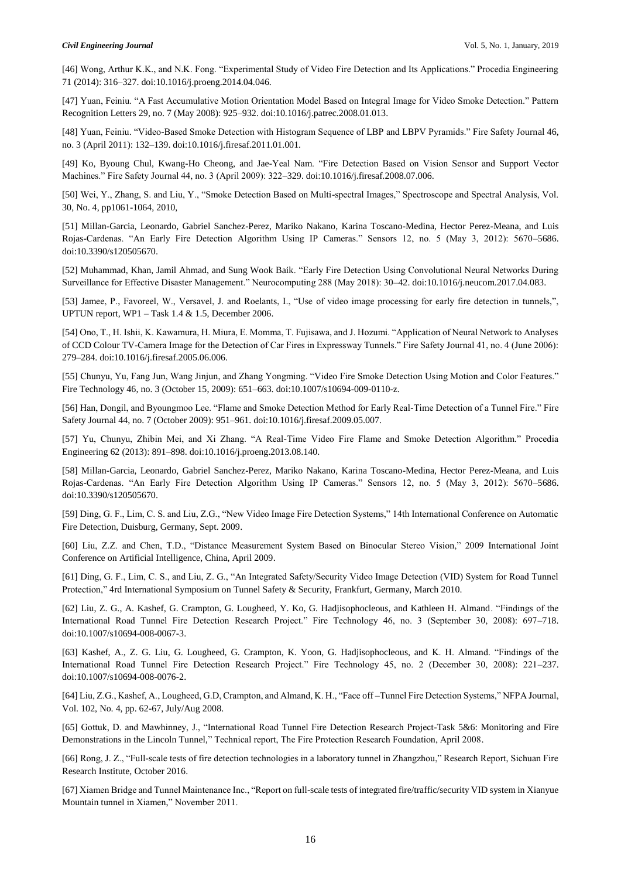[46] Wong, Arthur K.K., and N.K. Fong. "Experimental Study of Video Fire Detection and Its Applications." Procedia Engineering 71 (2014): 316–327. doi:10.1016/j.proeng.2014.04.046.

[47] Yuan, Feiniu. "A Fast Accumulative Motion Orientation Model Based on Integral Image for Video Smoke Detection." Pattern Recognition Letters 29, no. 7 (May 2008): 925–932. doi:10.1016/j.patrec.2008.01.013.

[48] Yuan, Feiniu. "Video-Based Smoke Detection with Histogram Sequence of LBP and LBPV Pyramids." Fire Safety Journal 46, no. 3 (April 2011): 132–139. doi:10.1016/j.firesaf.2011.01.001.

[49] Ko, Byoung Chul, Kwang-Ho Cheong, and Jae-Yeal Nam. "Fire Detection Based on Vision Sensor and Support Vector Machines." Fire Safety Journal 44, no. 3 (April 2009): 322–329. doi:10.1016/j.firesaf.2008.07.006.

[50] Wei, Y., Zhang, S. and Liu, Y., "Smoke Detection Based on Multi-spectral Images," Spectroscope and Spectral Analysis, Vol. 30, No. 4, pp1061-1064, 2010,

[51] Millan-Garcia, Leonardo, Gabriel Sanchez-Perez, Mariko Nakano, Karina Toscano-Medina, Hector Perez-Meana, and Luis Rojas-Cardenas. "An Early Fire Detection Algorithm Using IP Cameras." Sensors 12, no. 5 (May 3, 2012): 5670–5686. doi:10.3390/s120505670.

[52] Muhammad, Khan, Jamil Ahmad, and Sung Wook Baik. "Early Fire Detection Using Convolutional Neural Networks During Surveillance for Effective Disaster Management." Neurocomputing 288 (May 2018): 30–42. doi:10.1016/j.neucom.2017.04.083.

[53] Jamee, P., Favoreel, W., Versavel, J. and Roelants, I., "Use of video image processing for early fire detection in tunnels,", UPTUN report, WP1 – Task 1.4 & 1.5, December 2006.

[54] Ono, T., H. Ishii, K. Kawamura, H. Miura, E. Momma, T. Fujisawa, and J. Hozumi. "Application of Neural Network to Analyses of CCD Colour TV-Camera Image for the Detection of Car Fires in Expressway Tunnels." Fire Safety Journal 41, no. 4 (June 2006): 279–284. doi:10.1016/j.firesaf.2005.06.006.

[55] Chunyu, Yu, Fang Jun, Wang Jinjun, and Zhang Yongming. "Video Fire Smoke Detection Using Motion and Color Features." Fire Technology 46, no. 3 (October 15, 2009): 651–663. doi:10.1007/s10694-009-0110-z.

[56] Han, Dongil, and Byoungmoo Lee. "Flame and Smoke Detection Method for Early Real-Time Detection of a Tunnel Fire." Fire Safety Journal 44, no. 7 (October 2009): 951–961. doi:10.1016/j.firesaf.2009.05.007.

[57] Yu, Chunyu, Zhibin Mei, and Xi Zhang. "A Real-Time Video Fire Flame and Smoke Detection Algorithm." Procedia Engineering 62 (2013): 891–898. doi:10.1016/j.proeng.2013.08.140.

[58] Millan-Garcia, Leonardo, Gabriel Sanchez-Perez, Mariko Nakano, Karina Toscano-Medina, Hector Perez-Meana, and Luis Rojas-Cardenas. "An Early Fire Detection Algorithm Using IP Cameras." Sensors 12, no. 5 (May 3, 2012): 5670–5686. doi:10.3390/s120505670.

[59] Ding, G. F., Lim, C. S. and Liu, Z.G., "New Video Image Fire Detection Systems," 14th International Conference on Automatic Fire Detection, Duisburg, Germany, Sept. 2009.

[60] Liu, Z.Z. and Chen, T.D., "Distance Measurement System Based on Binocular Stereo Vision," 2009 International Joint Conference on Artificial Intelligence, China, April 2009.

[61] Ding, G. F., Lim, C. S., and Liu, Z. G., "An Integrated Safety/Security Video Image Detection (VID) System for Road Tunnel Protection," 4rd International Symposium on Tunnel Safety & Security, Frankfurt, Germany, March 2010.

[62] Liu, Z. G., A. Kashef, G. Crampton, G. Lougheed, Y. Ko, G. Hadjisophocleous, and Kathleen H. Almand. "Findings of the International Road Tunnel Fire Detection Research Project." Fire Technology 46, no. 3 (September 30, 2008): 697–718. doi:10.1007/s10694-008-0067-3.

[63] Kashef, A., Z. G. Liu, G. Lougheed, G. Crampton, K. Yoon, G. Hadjisophocleous, and K. H. Almand. "Findings of the International Road Tunnel Fire Detection Research Project." Fire Technology 45, no. 2 (December 30, 2008): 221–237. doi:10.1007/s10694-008-0076-2.

[64] Liu, Z.G., Kashef, A., Lougheed, G.D, Crampton, and Almand, K. H., "Face off –Tunnel Fire Detection Systems," NFPA Journal, Vol. 102, No. 4, pp. 62-67, July/Aug 2008.

[65] Gottuk, D. and Mawhinney, J., "International Road Tunnel Fire Detection Research Project-Task 5&6: Monitoring and Fire Demonstrations in the Lincoln Tunnel," Technical report, The Fire Protection Research Foundation, April 2008.

[66] Rong, J. Z., "Full-scale tests of fire detection technologies in a laboratory tunnel in Zhangzhou," Research Report, Sichuan Fire Research Institute, October 2016.

[67] Xiamen Bridge and Tunnel Maintenance Inc., "Report on full-scale tests of integrated fire/traffic/security VID system in Xianyue Mountain tunnel in Xiamen," November 2011.